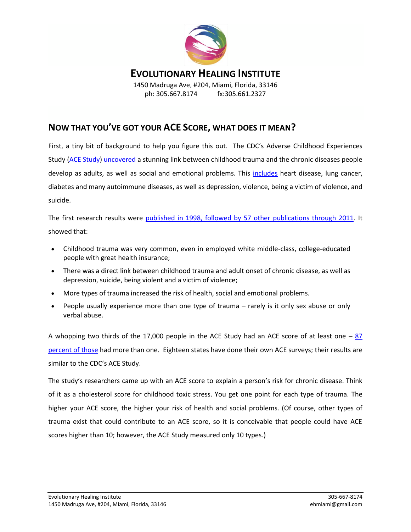

## **EVOLUTIONARY HEALING INSTITUTE**

1450 Madruga Ave, #204, Miami, Florida, 33146 ph: 305.667.8174 fx:305.661.2327

## **NOW THAT YOU'VE GOT YOUR ACE SCORE, WHAT DOES IT MEAN?**

First, a tiny bit of background to help you figure this out. The CDC's Adverse Childhood Experiences Study [\(ACE Study\)](http://www.cdc.gov/violenceprevention/acestudy/) [uncovered](http://www.cdc.gov/ace/findings.htm) a stunning link between childhood trauma and the chronic diseases people develop as adults, as well as social and emotional problems. This [includes](http://www.newyorker.com/reporting/2011/03/21/110321fa_fact_tough) heart disease, lung cancer, diabetes and many autoimmune diseases, as well as depression, violence, being a victim of violence, and suicide.

The first research results were [published in 1998, followed by 57 other publications through 2011.](http://acestoohigh.com/research/) It showed that:

- Childhood trauma was very common, even in employed white middle-class, college-educated people with great health insurance;
- There was a direct link between childhood trauma and adult onset of chronic disease, as well as depression, suicide, being violent and a victim of violence;
- More types of trauma increased the risk of health, social and emotional problems.
- People usually experience more than one type of trauma rarely is it only sex abuse or only verbal abuse.

A whopping two thirds of the 17,000 people in the ACE Study had an ACE score of at least one  $-87$ [percent of those](http://www.acestudy.org/yahoo_site_admin/assets/docs/ARV1N1.127150541.pdf) had more than one. Eighteen states have done their own ACE surveys; their results are similar to the CDC's ACE Study.

The study's researchers came up with an ACE score to explain a person's risk for chronic disease. Think of it as a cholesterol score for childhood toxic stress. You get one point for each type of trauma. The higher your ACE score, the higher your risk of health and social problems. (Of course, other types of trauma exist that could contribute to an ACE score, so it is conceivable that people could have ACE scores higher than 10; however, the ACE Study measured only 10 types.)